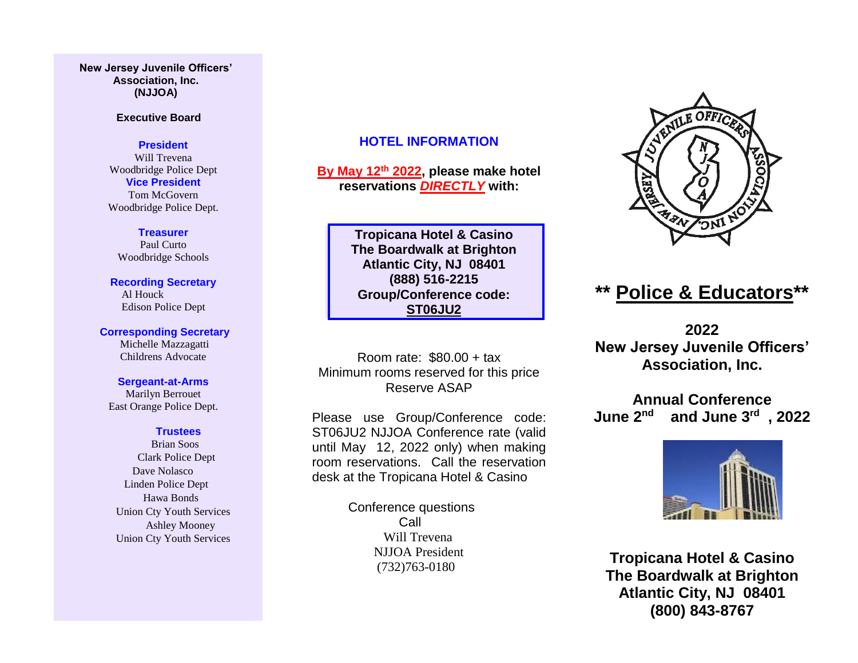### **New Jersey Juvenile Officers' Association, Inc. (NJJOA)**

### **Executive Board**

### **President**

Will Trevena Woodbridge Police Dept **Vice President** Tom McGovern Woodbridge Police Dept.

### **Treasurer**

Paul Curto Woodbridge Schools

**Recording Secretary** Al Houck Edison Police Dept

**Corresponding Secretary** Michelle Mazzagatti Childrens Advocate

**Sergeant-at-Arms** Marilyn Berrouet East Orange Police Dept.

#### **Trustees**

 Brian Soos Clark Police Dept Dave Nolasco Linden Police Dept Hawa Bonds Union Cty Youth Services Ashley Mooney Union Cty Youth Services

### **HOTEL INFORMATION**

**By May 12th 2022, please make hotel reservations** *DIRECTLY* **with:**

> **Tropicana Hotel & Casino The Boardwalk at Brighton Atlantic City, NJ 08401 (888) 516-2215 Group/Conference code: ST06JU2**

Room rate: \$80.00 + tax Minimum rooms reserved for this price Reserve ASAP

Please use Group/Conference code: ST06JU2 NJJOA Conference rate (valid until May 12, 2022 only) when making room reservations. Call the reservation desk at the Tropicana Hotel & Casino

> Conference questions Call Will Trevena NJJOA President (732)763-0180



# **\*\* Police & Educators\*\***

**2022 New Jersey Juvenile Officers' Association, Inc.**

**Annual Conference June 2 nd and June 3 rd , 2022**



**Tropicana Hotel & Casino The Boardwalk at Brighton Atlantic City, NJ 08401 (800) 843-8767**